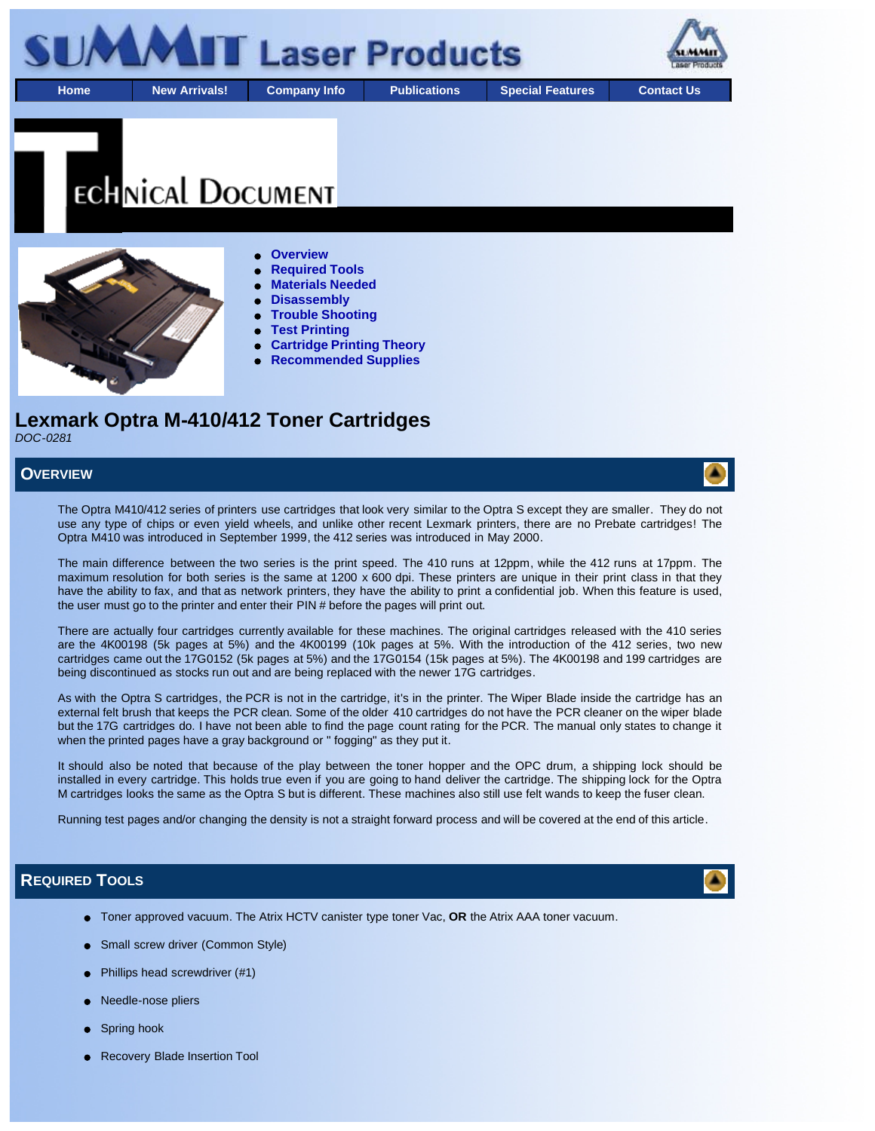

# **ECHNICAL DOCUMENT**



- **Overview**
- **Required Tools**
- **Materials Needed**
- **Disassembly**
- **Trouble Shooting**
- **Test Printing**
- **Cartridge Printing Theory**
- **Recommended Supplies**

# **Lexmark Optra M-410/412 Toner Cartridges** *DOC-0281*

**OVERVIEW**

The Optra M410/412 series of printers use cartridges that look very similar to the Optra S except they are smaller. They do not use any type of chips or even yield wheels, and unlike other recent Lexmark printers, there are no Prebate cartridges! The Optra M410 was introduced in September 1999, the 412 series was introduced in May 2000.

The main difference between the two series is the print speed. The 410 runs at 12ppm, while the 412 runs at 17ppm. The maximum resolution for both series is the same at 1200 x 600 dpi. These printers are unique in their print class in that they have the ability to fax, and that as network printers, they have the ability to print a confidential job. When this feature is used, the user must go to the printer and enter their PIN # before the pages will print out.

There are actually four cartridges currently available for these machines. The original cartridges released with the 410 series are the 4K00198 (5k pages at 5%) and the 4K00199 (10k pages at 5%. With the introduction of the 412 series, two new cartridges came out the 17G0152 (5k pages at 5%) and the 17G0154 (15k pages at 5%). The 4K00198 and 199 cartridges are being discontinued as stocks run out and are being replaced with the newer 17G cartridges.

As with the Optra S cartridges, the PCR is not in the cartridge, it's in the printer. The Wiper Blade inside the cartridge has an external felt brush that keeps the PCR clean. Some of the older 410 cartridges do not have the PCR cleaner on the wiper blade but the 17G cartridges do. I have not been able to find the page count rating for the PCR. The manual only states to change it when the printed pages have a gray background or " fogging" as they put it.

It should also be noted that because of the play between the toner hopper and the OPC drum, a shipping lock should be installed in every cartridge. This holds true even if you are going to hand deliver the cartridge. The shipping lock for the Optra M cartridges looks the same as the Optra S but is different. These machines also still use felt wands to keep the fuser clean.

Running test pages and/or changing the density is not a straight forward process and will be covered at the end of this article.

# **REQUIRED TOOLS**

- Toner approved vacuum. The Atrix HCTV canister type toner Vac, **OR** the Atrix AAA toner vacuum.
- Small screw driver (Common Style)
- Phillips head screwdriver (#1)
- Needle-nose pliers
- Spring hook
- Recovery Blade Insertion Tool



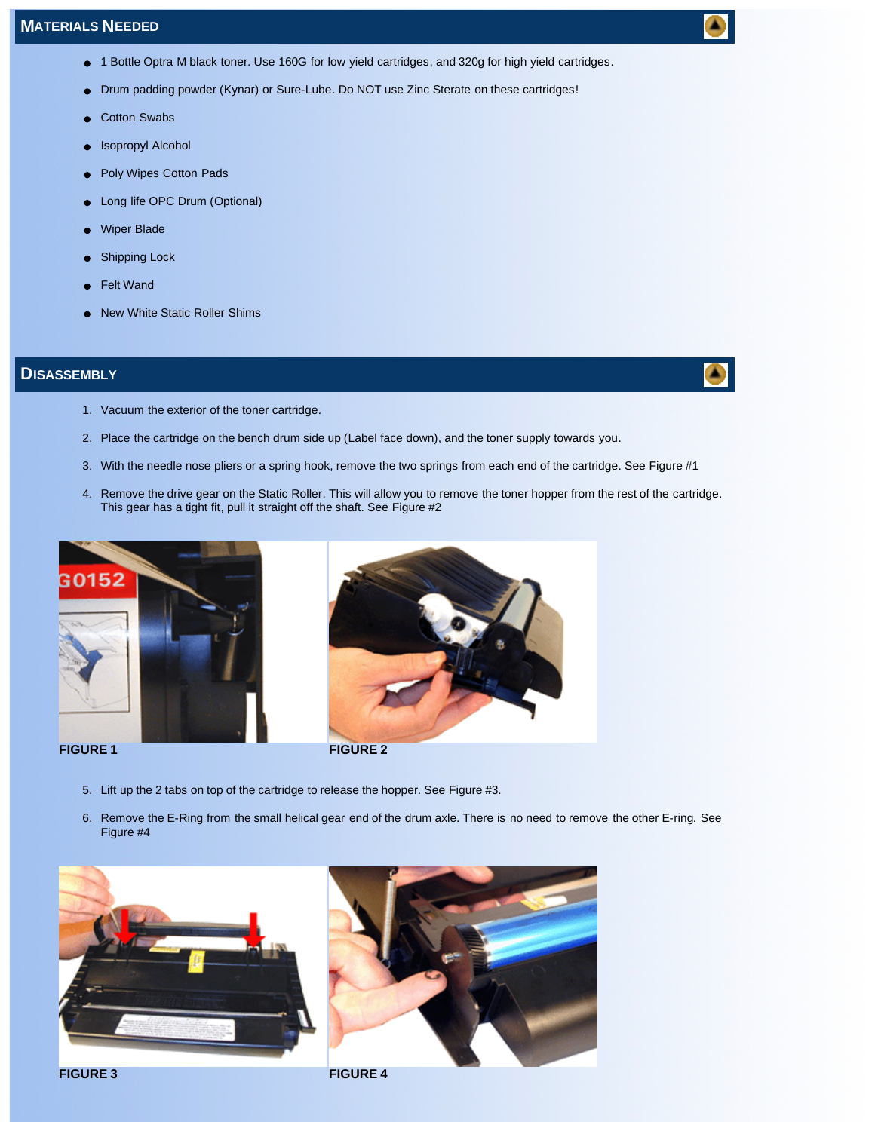- 1 Bottle Optra M black toner. Use 160G for low yield cartridges, and 320g for high yield cartridges.
- Drum padding powder (Kynar) or Sure-Lube. Do NOT use Zinc Sterate on these cartridges!
- Cotton Swabs
- Isopropyl Alcohol
- Poly Wipes Cotton Pads  $\bullet$
- Long life OPC Drum (Optional)
- Wiper Blade
- Shipping Lock
- Felt Wand
- New White Static Roller Shims

# **DISASSEMBLY**

- 1. Vacuum the exterior of the toner cartridge.
- 2. Place the cartridge on the bench drum side up (Label face down), and the toner supply towards you.
- 3. With the needle nose pliers or a spring hook, remove the two springs from each end of the cartridge. See Figure #1
- 4. Remove the drive gear on the Static Roller. This will allow you to remove the toner hopper from the rest of the cartridge. This gear has a tight fit, pull it straight off the shaft. See Figure #2





- 5. Lift up the 2 tabs on top of the cartridge to release the hopper. See Figure #3.
- 6. Remove the E-Ring from the small helical gear end of the drum axle. There is no need to remove the other E-ring. See Figure #4





**FIGURE 3 FIGURE 4**

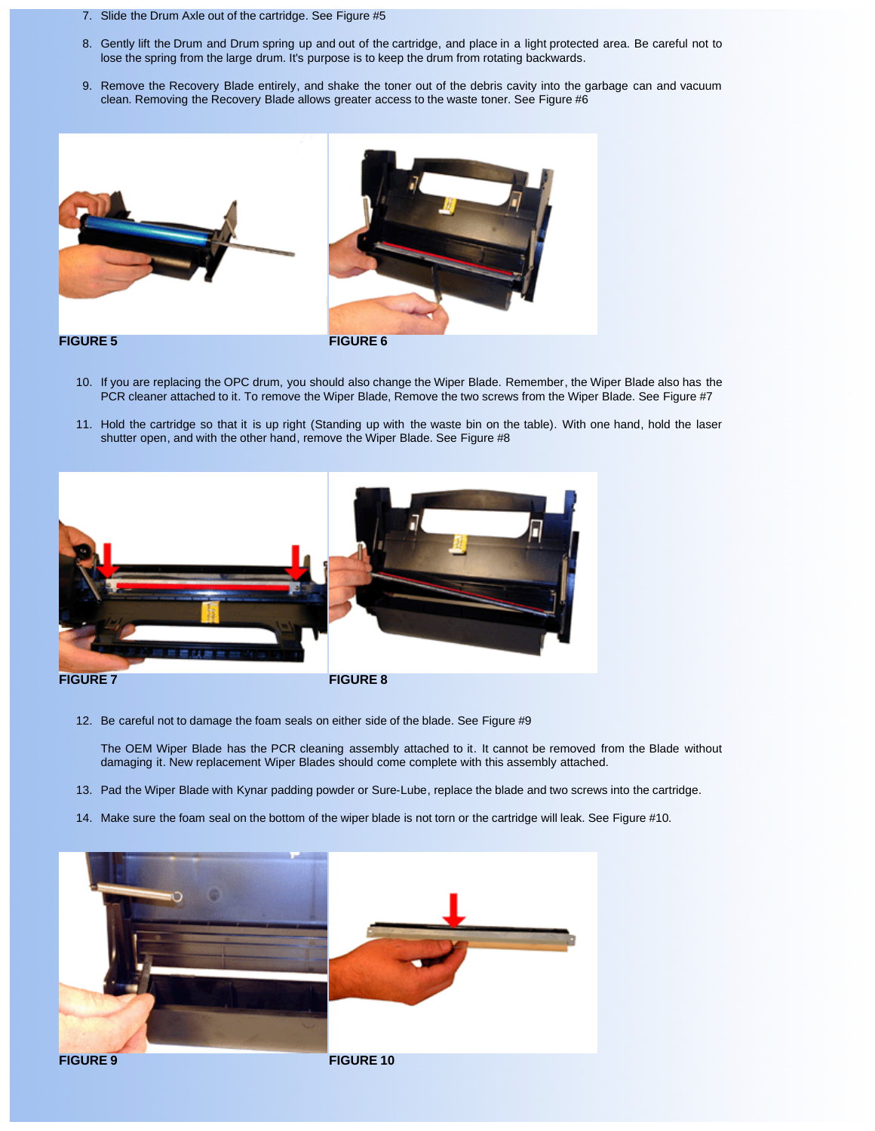- 7. Slide the Drum Axle out of the cartridge. See Figure #5
- 8. Gently lift the Drum and Drum spring up and out of the cartridge, and place in a light protected area. Be careful not to lose the spring from the large drum. It's purpose is to keep the drum from rotating backwards.
- 9. Remove the Recovery Blade entirely, and shake the toner out of the debris cavity into the garbage can and vacuum clean. Removing the Recovery Blade allows greater access to the waste toner. See Figure #6





- 10. If you are replacing the OPC drum, you should also change the Wiper Blade. Remember, the Wiper Blade also has the PCR cleaner attached to it. To remove the Wiper Blade, Remove the two screws from the Wiper Blade. See Figure #7
- 11. Hold the cartridge so that it is up right (Standing up with the waste bin on the table). With one hand, hold the laser shutter open, and with the other hand, remove the Wiper Blade. See Figure #8



12. Be careful not to damage the foam seals on either side of the blade. See Figure #9

The OEM Wiper Blade has the PCR cleaning assembly attached to it. It cannot be removed from the Blade without damaging it. New replacement Wiper Blades should come complete with this assembly attached.

- 13. Pad the Wiper Blade with Kynar padding powder or Sure-Lube, replace the blade and two screws into the cartridge.
- 14. Make sure the foam seal on the bottom of the wiper blade is not torn or the cartridge will leak. See Figure #10.

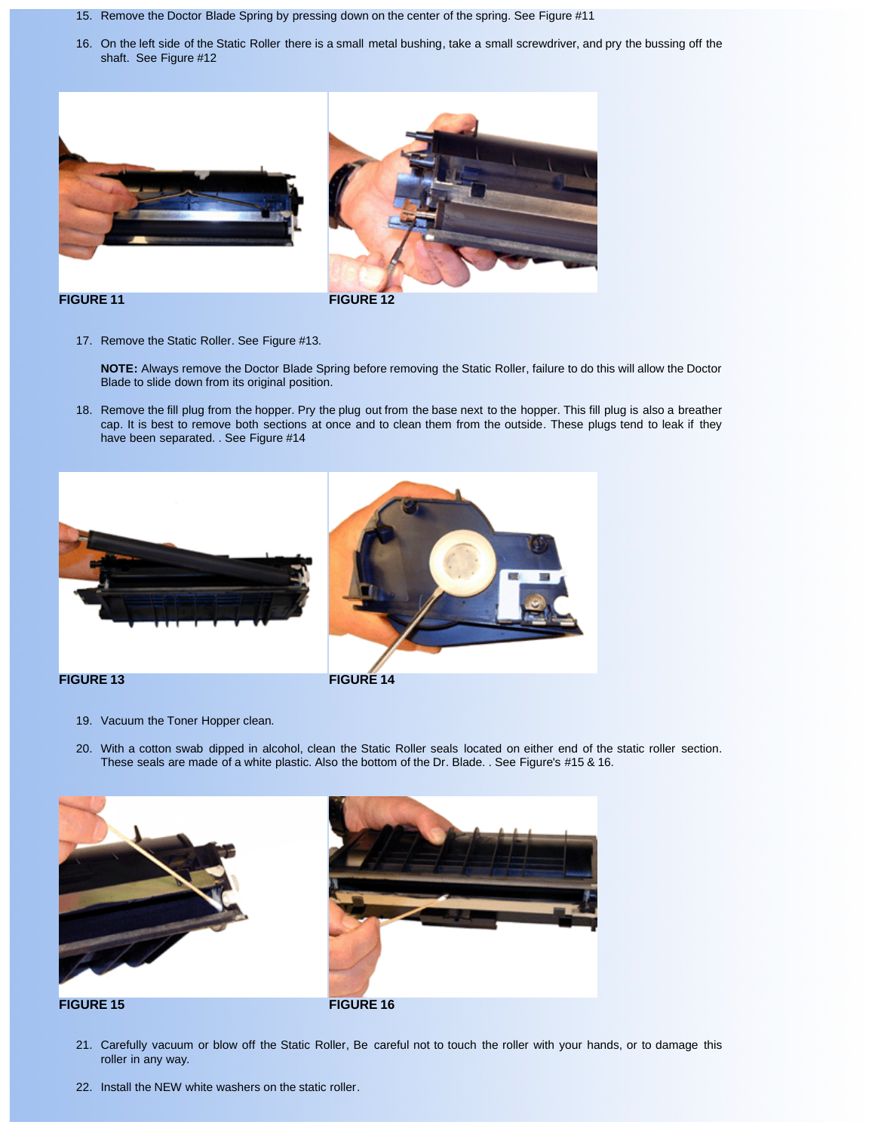- 15. Remove the Doctor Blade Spring by pressing down on the center of the spring. See Figure #11
- 16. On the left side of the Static Roller there is a small metal bushing, take a small screwdriver, and pry the bussing off the shaft. See Figure #12





**FIGURE 11 FIGURE 12**

17. Remove the Static Roller. See Figure #13.

**NOTE:** Always remove the Doctor Blade Spring before removing the Static Roller, failure to do this will allow the Doctor Blade to slide down from its original position.

18. Remove the fill plug from the hopper. Pry the plug out from the base next to the hopper. This fill plug is also a breather cap. It is best to remove both sections at once and to clean them from the outside. These plugs tend to leak if they have been separated. . See Figure #14







- 19. Vacuum the Toner Hopper clean.
- 20. With a cotton swab dipped in alcohol, clean the Static Roller seals located on either end of the static roller section. These seals are made of a white plastic. Also the bottom of the Dr. Blade. . See Figure's #15 & 16.





- 21. Carefully vacuum or blow off the Static Roller, Be careful not to touch the roller with your hands, or to damage this roller in any way.
- 22. Install the NEW white washers on the static roller.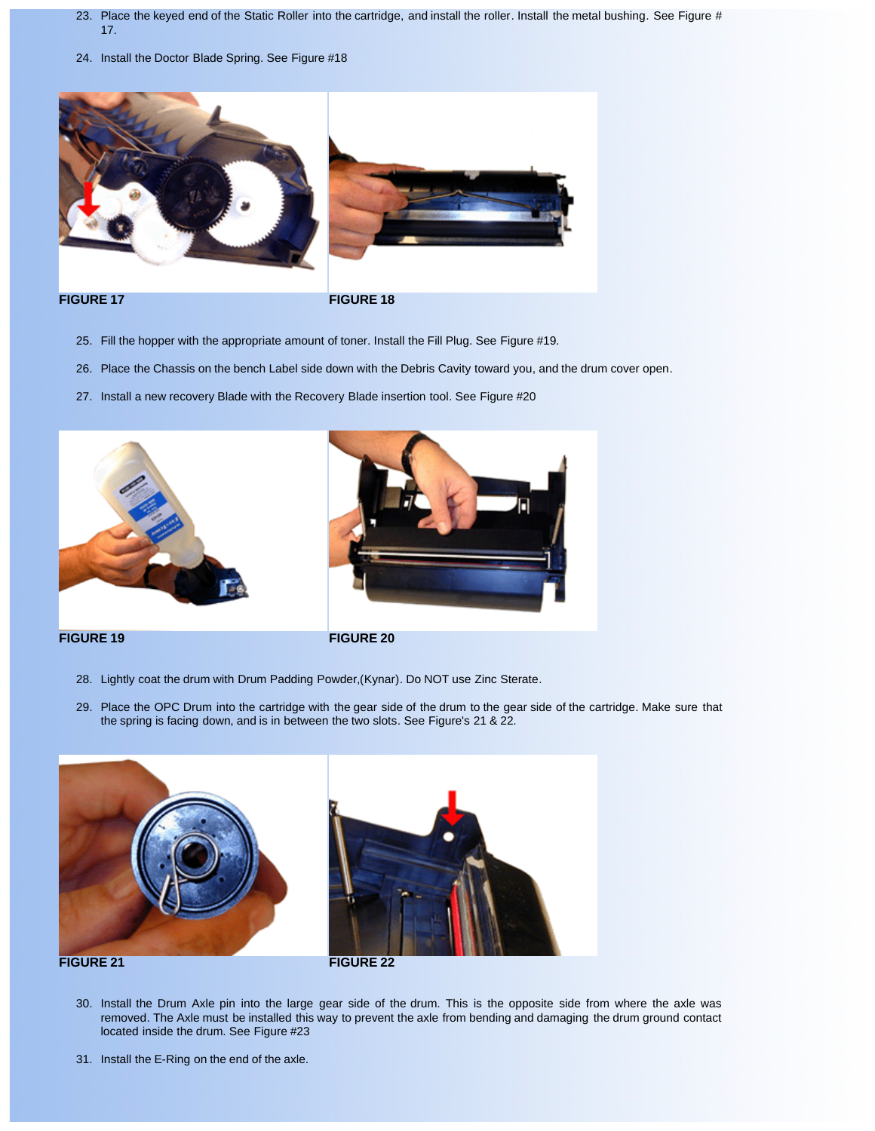- 23. Place the keyed end of the Static Roller into the cartridge, and install the roller. Install the metal bushing. See Figure # 17.
- 24. Install the Doctor Blade Spring. See Figure #18



# **FIGURE 17 FIGURE 18**

- 25. Fill the hopper with the appropriate amount of toner. Install the Fill Plug. See Figure #19.
- 26. Place the Chassis on the bench Label side down with the Debris Cavity toward you, and the drum cover open.
- 27. Install a new recovery Blade with the Recovery Blade insertion tool. See Figure #20





# **FIGURE 19 FIGURE 20**

- 28. Lightly coat the drum with Drum Padding Powder,(Kynar). Do NOT use Zinc Sterate.
- 29. Place the OPC Drum into the cartridge with the gear side of the drum to the gear side of the cartridge. Make sure that the spring is facing down, and is in between the two slots. See Figure's 21 & 22.





- 30. Install the Drum Axle pin into the large gear side of the drum. This is the opposite side from where the axle was removed. The Axle must be installed this way to prevent the axle from bending and damaging the drum ground contact located inside the drum. See Figure #23
- 31. Install the E-Ring on the end of the axle.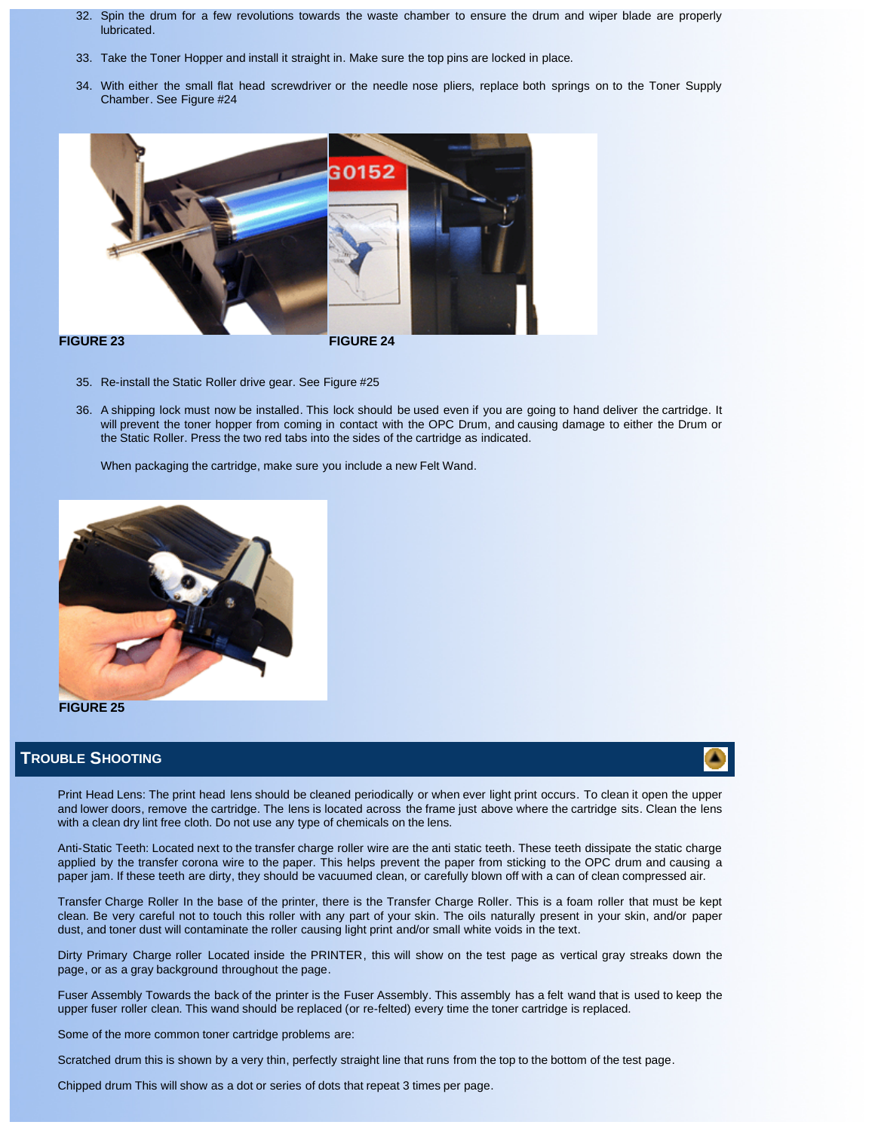- 32. Spin the drum for a few revolutions towards the waste chamber to ensure the drum and wiper blade are properly lubricated.
- 33. Take the Toner Hopper and install it straight in. Make sure the top pins are locked in place.
- 34. With either the small flat head screwdriver or the needle nose pliers, replace both springs on to the Toner Supply Chamber. See Figure #24



- 35. Re-install the Static Roller drive gear. See Figure #25
- 36. A shipping lock must now be installed. This lock should be used even if you are going to hand deliver the cartridge. It will prevent the toner hopper from coming in contact with the OPC Drum, and causing damage to either the Drum or the Static Roller. Press the two red tabs into the sides of the cartridge as indicated.

When packaging the cartridge, make sure you include a new Felt Wand.



### **FIGURE 25**

# **TROUBLE SHOOTING**

Print Head Lens: The print head lens should be cleaned periodically or when ever light print occurs. To clean it open the upper and lower doors, remove the cartridge. The lens is located across the frame just above where the cartridge sits. Clean the lens with a clean dry lint free cloth. Do not use any type of chemicals on the lens.

Anti-Static Teeth: Located next to the transfer charge roller wire are the anti static teeth. These teeth dissipate the static charge applied by the transfer corona wire to the paper. This helps prevent the paper from sticking to the OPC drum and causing a paper jam. If these teeth are dirty, they should be vacuumed clean, or carefully blown off with a can of clean compressed air.

Transfer Charge Roller In the base of the printer, there is the Transfer Charge Roller. This is a foam roller that must be kept clean. Be very careful not to touch this roller with any part of your skin. The oils naturally present in your skin, and/or paper dust, and toner dust will contaminate the roller causing light print and/or small white voids in the text.

Dirty Primary Charge roller Located inside the PRINTER, this will show on the test page as vertical gray streaks down the page, or as a gray background throughout the page.

Fuser Assembly Towards the back of the printer is the Fuser Assembly. This assembly has a felt wand that is used to keep the upper fuser roller clean. This wand should be replaced (or re-felted) every time the toner cartridge is replaced.

Some of the more common toner cartridge problems are:

Scratched drum this is shown by a very thin, perfectly straight line that runs from the top to the bottom of the test page.

Chipped drum This will show as a dot or series of dots that repeat 3 times per page.

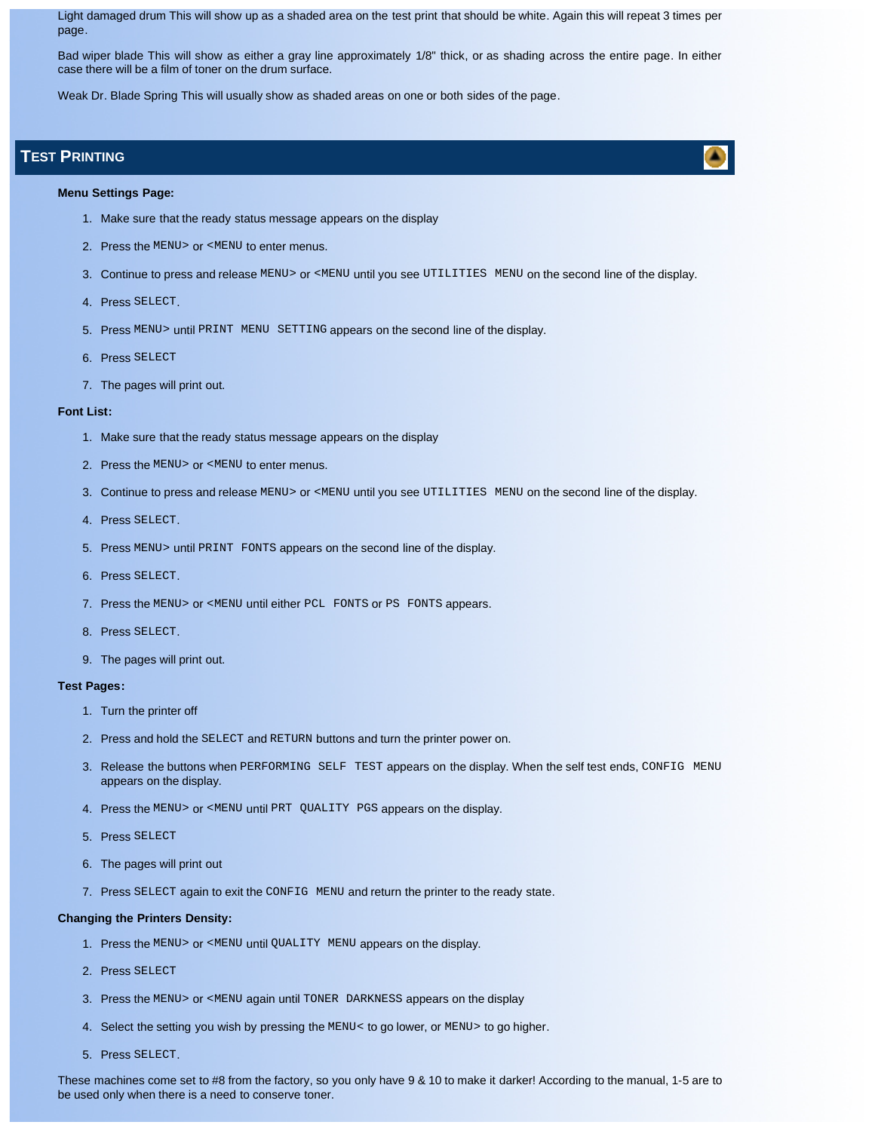Light damaged drum This will show up as a shaded area on the test print that should be white. Again this will repeat 3 times per page.

Bad wiper blade This will show as either a gray line approximately 1/8" thick, or as shading across the entire page. In either case there will be a film of toner on the drum surface.

Weak Dr. Blade Spring This will usually show as shaded areas on one or both sides of the page.

# **TEST PRINTING**

**Menu Settings Page:**

- 1. Make sure that the ready status message appears on the display
- 2. Press the MENU> or <MENU to enter menus.
- 3. Continue to press and release MENU> or <MENU until you see UTILITIES MENU on the second line of the display.
- 4. Press SELECT.
- 5. Press MENU> until PRINT MENU SETTING appears on the second line of the display.
- 6. Press SELECT
- 7. The pages will print out.

### **Font List:**

- 1. Make sure that the ready status message appears on the display
- 2. Press the MENU> or <MENU to enter menus.
- 3. Continue to press and release MENU> or <MENU until you see UTILITIES MENU on the second line of the display.
- 4. Press SELECT.
- 5. Press MENU> until PRINT FONTS appears on the second line of the display.
- 6. Press SELECT.
- 7. Press the MENU> or <MENU until either PCL FONTS or PS FONTS appears.
- 8. Press SELECT.
- 9. The pages will print out.

### **Test Pages:**

- 1. Turn the printer off
- 2. Press and hold the SELECT and RETURN buttons and turn the printer power on.
- 3. Release the buttons when PERFORMING SELF TEST appears on the display. When the self test ends, CONFIG MENU appears on the display.
- 4. Press the MENU> or <MENU until PRT QUALITY PGS appears on the display.
- 5. Press SELECT
- 6. The pages will print out
- 7. Press SELECT again to exit the CONFIG MENU and return the printer to the ready state.

### **Changing the Printers Density:**

- 1. Press the MENU> or <MENU until QUALITY MENU appears on the display.
- 2. Press SELECT
- 3. Press the MENU> or <MENU again until TONER DARKNESS appears on the display
- 4. Select the setting you wish by pressing the MENU< to go lower, or MENU> to go higher.
- 5. Press SELECT.

These machines come set to #8 from the factory, so you only have 9 & 10 to make it darker! According to the manual, 1-5 are to be used only when there is a need to conserve toner.